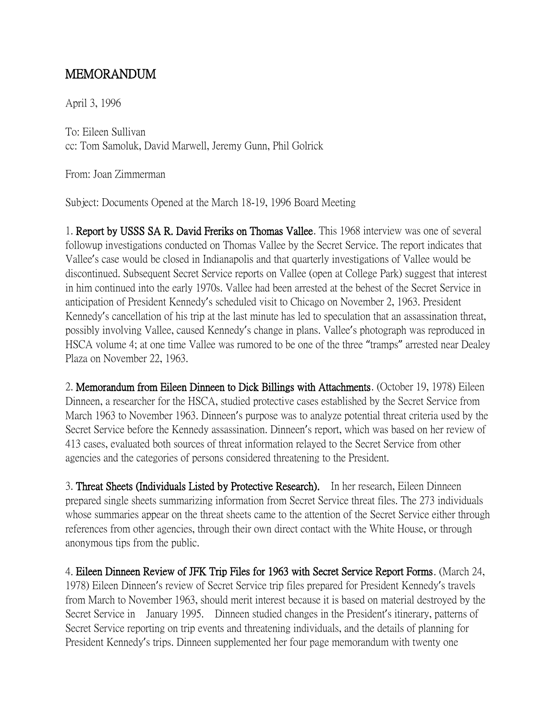## MEMORANDUM

April 3, 1996

To: Eileen Sullivan cc: Tom Samoluk, David Marwell, Jeremy Gunn, Phil Golrick

From: Joan Zimmerman

Subject: Documents Opened at the March 18-19, 1996 Board Meeting

1. Report by USSS SA R. David Freriks on Thomas Vallee. This 1968 interview was one of several followup investigations conducted on Thomas Vallee by the Secret Service. The report indicates that Vallee's case would be closed in Indianapolis and that quarterly investigations of Vallee would be discontinued. Subsequent Secret Service reports on Vallee (open at College Park) suggest that interest in him continued into the early 1970s. Vallee had been arrested at the behest of the Secret Service in anticipation of President Kennedy's scheduled visit to Chicago on November 2, 1963. President Kennedy's cancellation of his trip at the last minute has led to speculation that an assassination threat, possibly involving Vallee, caused Kennedy's change in plans. Vallee's photograph was reproduced in HSCA volume 4; at one time Vallee was rumored to be one of the three "tramps" arrested near Dealey Plaza on November 22, 1963.

2. Memorandum from Eileen Dinneen to Dick Billings with Attachments. (October 19, 1978) Eileen Dinneen, a researcher for the HSCA, studied protective cases established by the Secret Service from March 1963 to November 1963. Dinneen's purpose was to analyze potential threat criteria used by the Secret Service before the Kennedy assassination. Dinneen's report, which was based on her review of 413 cases, evaluated both sources of threat information relayed to the Secret Service from other agencies and the categories of persons considered threatening to the President.

3. Threat Sheets (Individuals Listed by Protective Research). In her research, Eileen Dinneen prepared single sheets summarizing information from Secret Service threat files. The 273 individuals whose summaries appear on the threat sheets came to the attention of the Secret Service either through references from other agencies, through their own direct contact with the White House, or through anonymous tips from the public.

4. Eileen Dinneen Review of JFK Trip Files for 1963 with Secret Service Report Forms. (March 24, 1978) Eileen Dinneen's review of Secret Service trip files prepared for President Kennedy's travels from March to November 1963, should merit interest because it is based on material destroyed by the Secret Service in January 1995. Dinneen studied changes in the President's itinerary, patterns of Secret Service reporting on trip events and threatening individuals, and the details of planning for President Kennedy's trips. Dinneen supplemented her four page memorandum with twenty one